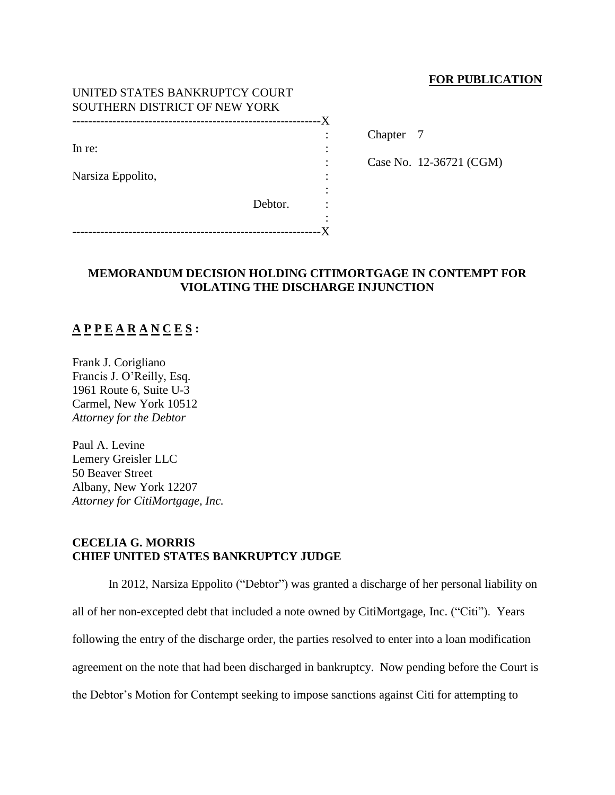### **FOR PUBLICATION**

| UNITED STATES BANKRUPTCY COURT |         |    |
|--------------------------------|---------|----|
| SOUTHERN DISTRICT OF NEW YORK  |         |    |
|                                |         | -X |
|                                |         |    |
| In re:                         |         |    |
|                                |         |    |
| Narsiza Eppolito,              |         |    |
|                                |         |    |
|                                | Debtor. |    |
|                                |         |    |
|                                |         |    |

Chapter 7

: Case No. 12-36721 (CGM)

### **MEMORANDUM DECISION HOLDING CITIMORTGAGE IN CONTEMPT FOR VIOLATING THE DISCHARGE INJUNCTION**

# **A P P E A R A N C E S :**

Frank J. Corigliano Francis J. O'Reilly, Esq. 1961 Route 6, Suite U-3 Carmel, New York 10512 *Attorney for the Debtor* 

Paul A. Levine Lemery Greisler LLC 50 Beaver Street Albany, New York 12207 *Attorney for CitiMortgage, Inc.* 

### **CECELIA G. MORRIS CHIEF UNITED STATES BANKRUPTCY JUDGE**

In 2012, Narsiza Eppolito ("Debtor") was granted a discharge of her personal liability on all of her non-excepted debt that included a note owned by CitiMortgage, Inc. ("Citi"). Years following the entry of the discharge order, the parties resolved to enter into a loan modification agreement on the note that had been discharged in bankruptcy. Now pending before the Court is the Debtor's Motion for Contempt seeking to impose sanctions against Citi for attempting to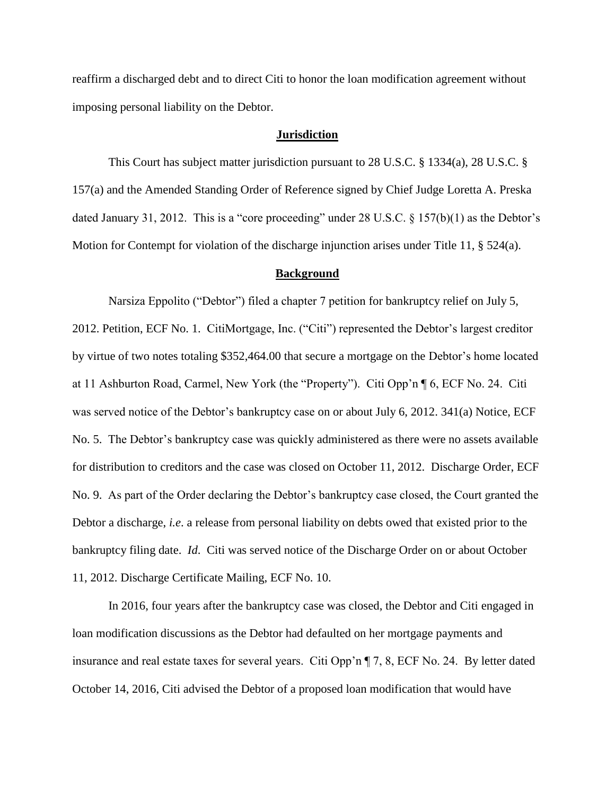reaffirm a discharged debt and to direct Citi to honor the loan modification agreement without imposing personal liability on the Debtor.

#### **Jurisdiction**

This Court has subject matter jurisdiction pursuant to 28 U.S.C. § 1334(a), 28 U.S.C. § 157(a) and the Amended Standing Order of Reference signed by Chief Judge Loretta A. Preska dated January 31, 2012. This is a "core proceeding" under 28 U.S.C. § 157(b)(1) as the Debtor's Motion for Contempt for violation of the discharge injunction arises under Title 11, § 524(a).

#### **Background**

Narsiza Eppolito ("Debtor") filed a chapter 7 petition for bankruptcy relief on July 5, 2012. Petition, ECF No. 1. CitiMortgage, Inc. ("Citi") represented the Debtor's largest creditor by virtue of two notes totaling \$352,464.00 that secure a mortgage on the Debtor's home located at 11 Ashburton Road, Carmel, New York (the "Property"). Citi Opp'n ¶ 6, ECF No. 24. Citi was served notice of the Debtor's bankruptcy case on or about July 6, 2012. 341(a) Notice, ECF No. 5. The Debtor's bankruptcy case was quickly administered as there were no assets available for distribution to creditors and the case was closed on October 11, 2012. Discharge Order, ECF No. 9. As part of the Order declaring the Debtor's bankruptcy case closed, the Court granted the Debtor a discharge, *i.e*. a release from personal liability on debts owed that existed prior to the bankruptcy filing date. *Id*. Citi was served notice of the Discharge Order on or about October 11, 2012. Discharge Certificate Mailing, ECF No. 10.

In 2016, four years after the bankruptcy case was closed, the Debtor and Citi engaged in loan modification discussions as the Debtor had defaulted on her mortgage payments and insurance and real estate taxes for several years. Citi Opp'n ¶ 7, 8, ECF No. 24. By letter dated October 14, 2016, Citi advised the Debtor of a proposed loan modification that would have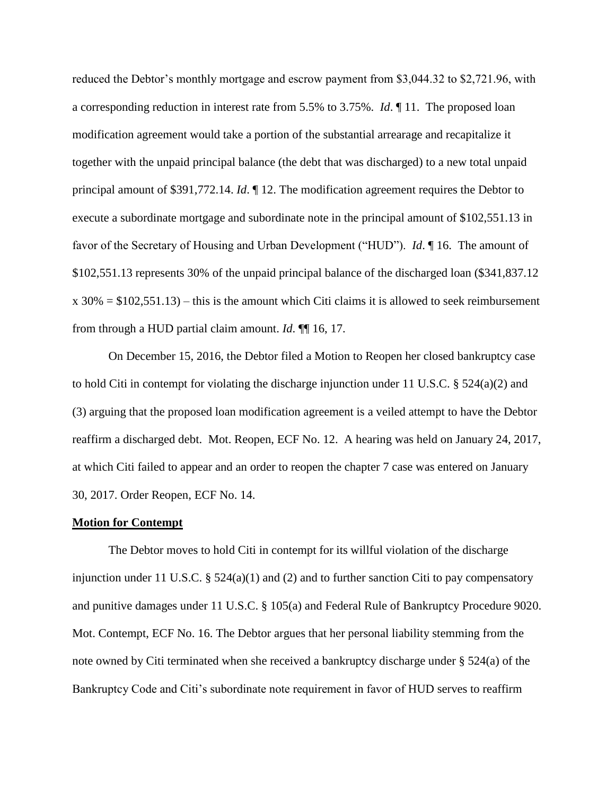reduced the Debtor's monthly mortgage and escrow payment from \$3,044.32 to \$2,721.96, with a corresponding reduction in interest rate from 5.5% to 3.75%. *Id*. ¶ 11. The proposed loan modification agreement would take a portion of the substantial arrearage and recapitalize it together with the unpaid principal balance (the debt that was discharged) to a new total unpaid principal amount of \$391,772.14. *Id*. ¶ 12. The modification agreement requires the Debtor to execute a subordinate mortgage and subordinate note in the principal amount of \$102,551.13 in favor of the Secretary of Housing and Urban Development ("HUD"). *Id*. ¶ 16. The amount of \$102,551.13 represents 30% of the unpaid principal balance of the discharged loan (\$341,837.12  $x 30\% = $102,551.13$  – this is the amount which Citi claims it is allowed to seek reimbursement from through a HUD partial claim amount. *Id*. ¶¶ 16, 17.

On December 15, 2016, the Debtor filed a Motion to Reopen her closed bankruptcy case to hold Citi in contempt for violating the discharge injunction under 11 U.S.C.  $\S$  524(a)(2) and (3) arguing that the proposed loan modification agreement is a veiled attempt to have the Debtor reaffirm a discharged debt. Mot. Reopen, ECF No. 12. A hearing was held on January 24, 2017, at which Citi failed to appear and an order to reopen the chapter 7 case was entered on January 30, 2017. Order Reopen, ECF No. 14.

#### **Motion for Contempt**

The Debtor moves to hold Citi in contempt for its willful violation of the discharge injunction under 11 U.S.C.  $\S 524(a)(1)$  and (2) and to further sanction Citi to pay compensatory and punitive damages under 11 U.S.C. § 105(a) and Federal Rule of Bankruptcy Procedure 9020. Mot. Contempt, ECF No. 16. The Debtor argues that her personal liability stemming from the note owned by Citi terminated when she received a bankruptcy discharge under § 524(a) of the Bankruptcy Code and Citi's subordinate note requirement in favor of HUD serves to reaffirm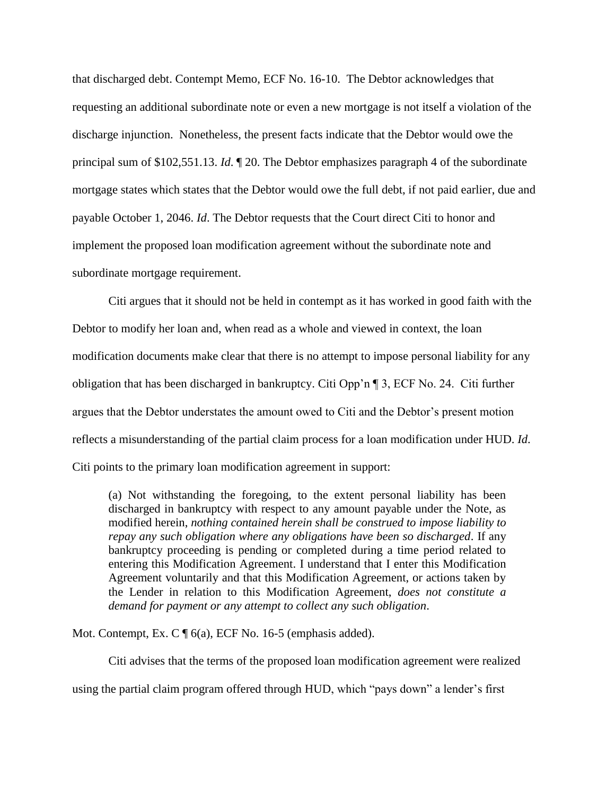that discharged debt. Contempt Memo, ECF No. 16-10. The Debtor acknowledges that requesting an additional subordinate note or even a new mortgage is not itself a violation of the discharge injunction. Nonetheless, the present facts indicate that the Debtor would owe the principal sum of \$102,551.13. *Id*. ¶ 20. The Debtor emphasizes paragraph 4 of the subordinate mortgage states which states that the Debtor would owe the full debt, if not paid earlier, due and payable October 1, 2046. *Id*. The Debtor requests that the Court direct Citi to honor and implement the proposed loan modification agreement without the subordinate note and subordinate mortgage requirement.

Citi argues that it should not be held in contempt as it has worked in good faith with the Debtor to modify her loan and, when read as a whole and viewed in context, the loan modification documents make clear that there is no attempt to impose personal liability for any obligation that has been discharged in bankruptcy. Citi Opp'n ¶ 3, ECF No. 24. Citi further argues that the Debtor understates the amount owed to Citi and the Debtor's present motion reflects a misunderstanding of the partial claim process for a loan modification under HUD. *Id*. Citi points to the primary loan modification agreement in support:

(a) Not withstanding the foregoing, to the extent personal liability has been discharged in bankruptcy with respect to any amount payable under the Note, as modified herein, *nothing contained herein shall be construed to impose liability to repay any such obligation where any obligations have been so discharged*. If any bankruptcy proceeding is pending or completed during a time period related to entering this Modification Agreement. I understand that I enter this Modification Agreement voluntarily and that this Modification Agreement, or actions taken by the Lender in relation to this Modification Agreement, *does not constitute a demand for payment or any attempt to collect any such obligation*.

Mot. Contempt, Ex. C  $\P$  6(a), ECF No. 16-5 (emphasis added).

Citi advises that the terms of the proposed loan modification agreement were realized using the partial claim program offered through HUD, which "pays down" a lender's first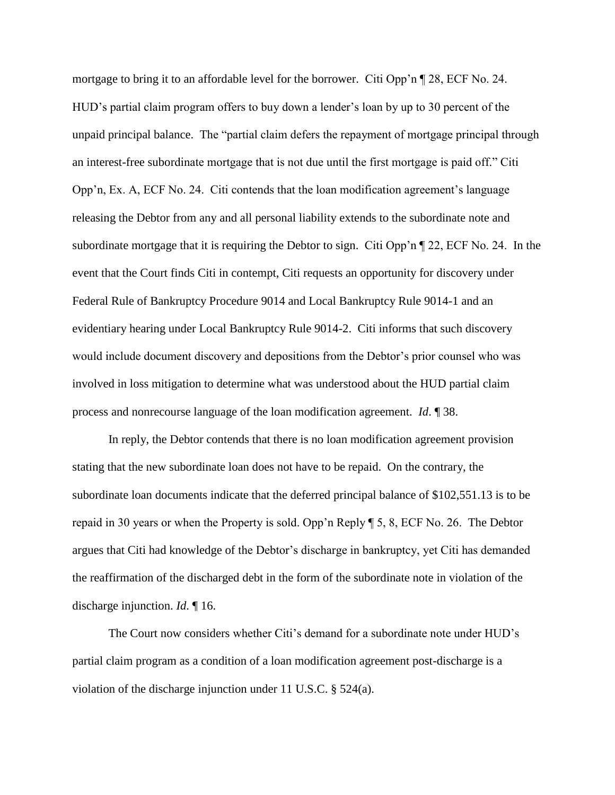mortgage to bring it to an affordable level for the borrower. Citi Opp'n ¶ 28, ECF No. 24. HUD's partial claim program offers to buy down a lender's loan by up to 30 percent of the unpaid principal balance. The "partial claim defers the repayment of mortgage principal through an interest-free subordinate mortgage that is not due until the first mortgage is paid off." Citi Opp'n, Ex. A, ECF No. 24. Citi contends that the loan modification agreement's language releasing the Debtor from any and all personal liability extends to the subordinate note and subordinate mortgage that it is requiring the Debtor to sign. Citi Opp'n ¶ 22, ECF No. 24. In the event that the Court finds Citi in contempt, Citi requests an opportunity for discovery under Federal Rule of Bankruptcy Procedure 9014 and Local Bankruptcy Rule 9014-1 and an evidentiary hearing under Local Bankruptcy Rule 9014-2. Citi informs that such discovery would include document discovery and depositions from the Debtor's prior counsel who was involved in loss mitigation to determine what was understood about the HUD partial claim process and nonrecourse language of the loan modification agreement. *Id*. ¶ 38.

In reply, the Debtor contends that there is no loan modification agreement provision stating that the new subordinate loan does not have to be repaid. On the contrary, the subordinate loan documents indicate that the deferred principal balance of \$102,551.13 is to be repaid in 30 years or when the Property is sold. Opp'n Reply ¶ 5, 8, ECF No. 26. The Debtor argues that Citi had knowledge of the Debtor's discharge in bankruptcy, yet Citi has demanded the reaffirmation of the discharged debt in the form of the subordinate note in violation of the discharge injunction. *Id*. ¶ 16.

The Court now considers whether Citi's demand for a subordinate note under HUD's partial claim program as a condition of a loan modification agreement post-discharge is a violation of the discharge injunction under 11 U.S.C. § 524(a).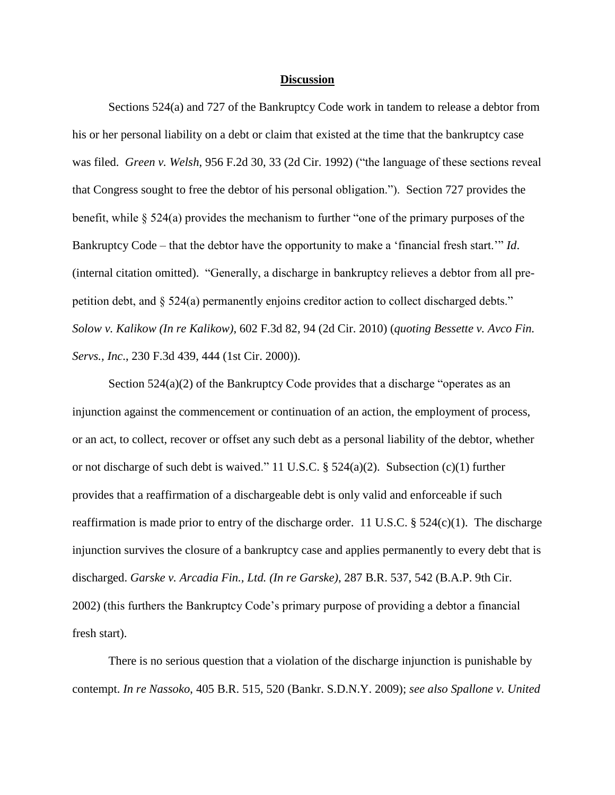#### **Discussion**

Sections 524(a) and 727 of the Bankruptcy Code work in tandem to release a debtor from his or her personal liability on a debt or claim that existed at the time that the bankruptcy case was filed. *Green v. Welsh*, 956 F.2d 30, 33 (2d Cir. 1992) ("the language of these sections reveal that Congress sought to free the debtor of his personal obligation."). Section 727 provides the benefit, while § 524(a) provides the mechanism to further "one of the primary purposes of the Bankruptcy Code – that the debtor have the opportunity to make a 'financial fresh start.'" *Id*. (internal citation omitted). "Generally, a discharge in bankruptcy relieves a debtor from all prepetition debt, and § 524(a) permanently enjoins creditor action to collect discharged debts." *Solow v. Kalikow (In re Kalikow)*, 602 F.3d 82, 94 (2d Cir. 2010) (*quoting Bessette v. Avco Fin. Servs., Inc*., 230 F.3d 439, 444 (1st Cir. 2000)).

Section  $524(a)(2)$  of the Bankruptcy Code provides that a discharge "operates as an injunction against the commencement or continuation of an action, the employment of process, or an act, to collect, recover or offset any such debt as a personal liability of the debtor, whether or not discharge of such debt is waived." 11 U.S.C. § 524(a)(2). Subsection (c)(1) further provides that a reaffirmation of a dischargeable debt is only valid and enforceable if such reaffirmation is made prior to entry of the discharge order. 11 U.S.C.  $\S$  524(c)(1). The discharge injunction survives the closure of a bankruptcy case and applies permanently to every debt that is discharged. *Garske v. Arcadia Fin., Ltd. (In re Garske)*, 287 B.R. 537, 542 (B.A.P. 9th Cir. 2002) (this furthers the Bankruptcy Code's primary purpose of providing a debtor a financial fresh start).

There is no serious question that a violation of the discharge injunction is punishable by contempt. *In re Nassoko*, 405 B.R. 515, 520 (Bankr. S.D.N.Y. 2009); *see also Spallone v. United*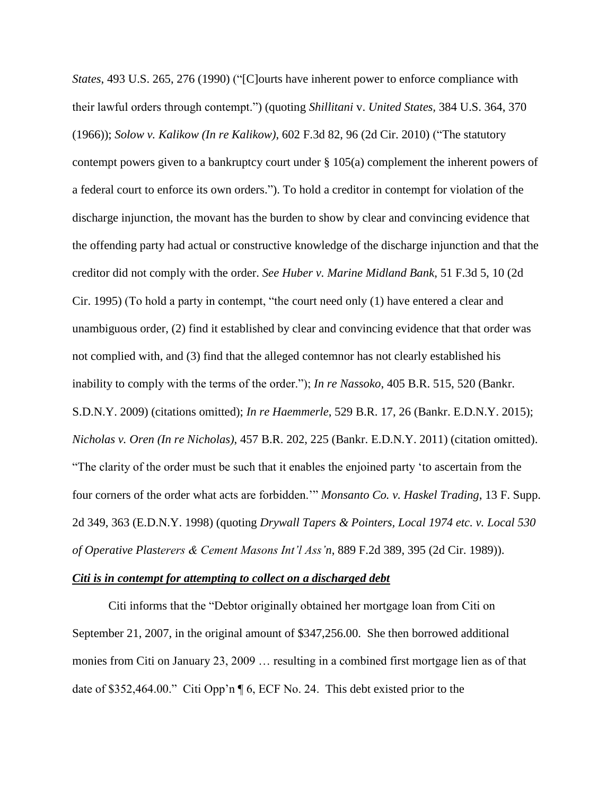*States*, 493 U.S. 265, 276 (1990) ("[C]ourts have inherent power to enforce compliance with their lawful orders through contempt.") (quoting *Shillitani* v. *United States,* 384 U.S. 364, 370 (1966)); *Solow v. Kalikow (In re Kalikow)*, 602 F.3d 82, 96 (2d Cir. 2010) ("The statutory contempt powers given to a bankruptcy court under § 105(a) complement the inherent powers of a federal court to enforce its own orders."). To hold a creditor in contempt for violation of the discharge injunction, the movant has the burden to show by clear and convincing evidence that the offending party had actual or constructive knowledge of the discharge injunction and that the creditor did not comply with the order. *See Huber v. Marine Midland Bank*, 51 F.3d 5, 10 (2d Cir. 1995) (To hold a party in contempt, "the court need only (1) have entered a clear and unambiguous order, (2) find it established by clear and convincing evidence that that order was not complied with, and (3) find that the alleged contemnor has not clearly established his inability to comply with the terms of the order."); *In re Nassoko*, 405 B.R. 515, 520 (Bankr. S.D.N.Y. 2009) (citations omitted); *In re Haemmerle*, 529 B.R. 17, 26 (Bankr. E.D.N.Y. 2015); *Nicholas v. Oren (In re Nicholas)*, 457 B.R. 202, 225 (Bankr. E.D.N.Y. 2011) (citation omitted). "The clarity of the order must be such that it enables the enjoined party 'to ascertain from the four corners of the order what acts are forbidden.'" *Monsanto Co. v. Haskel Trading*, 13 F. Supp. 2d 349, 363 (E.D.N.Y. 1998) (quoting *Drywall Tapers & Pointers, Local 1974 etc. v. Local 530 of Operative Plasterers & Cement Masons Int'l Ass'n*, 889 F.2d 389, 395 (2d Cir. 1989)).

#### *Citi is in contempt for attempting to collect on a discharged debt*

Citi informs that the "Debtor originally obtained her mortgage loan from Citi on September 21, 2007, in the original amount of \$347,256.00. She then borrowed additional monies from Citi on January 23, 2009 … resulting in a combined first mortgage lien as of that date of \$352,464.00." Citi Opp'n ¶ 6, ECF No. 24. This debt existed prior to the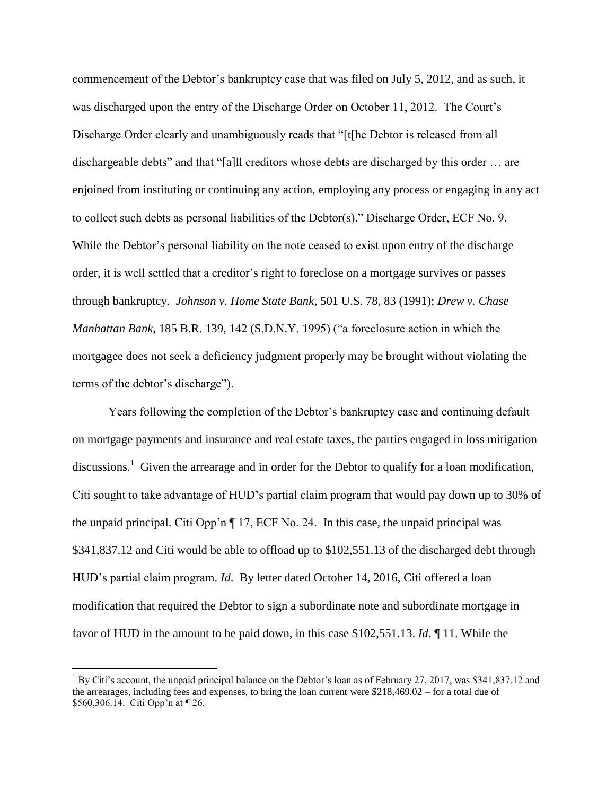commencement of the Debtor's bankruptcy case that was filed on July 5, 2012, and as such, it was discharged upon the entry of the Discharge Order on October 11, 2012. The Court's Discharge Order clearly and unambiguously reads that "[t[he Debtor is released from all dischargeable debts" and that "[a]ll creditors whose debts are discharged by this order … are enjoined from instituting or continuing any action, employing any process or engaging in any act to collect such debts as personal liabilities of the Debtor(s)." Discharge Order, ECF No. 9. While the Debtor's personal liability on the note ceased to exist upon entry of the discharge order, it is well settled that a creditor's right to foreclose on a mortgage survives or passes through bankruptcy*. Johnson v. Home State Bank*, 501 U.S. 78, 83 (1991); *Drew v. Chase Manhattan Bank*, 185 B.R. 139, 142 (S.D.N.Y. 1995) ("a foreclosure action in which the mortgagee does not seek a deficiency judgment properly may be brought without violating the terms of the debtor's discharge").

Years following the completion of the Debtor's bankruptcy case and continuing default on mortgage payments and insurance and real estate taxes, the parties engaged in loss mitigation discussions.<sup>1</sup> Given the arrearage and in order for the Debtor to qualify for a loan modification, Citi sought to take advantage of HUD's partial claim program that would pay down up to 30% of the unpaid principal. Citi Opp'n ¶ 17, ECF No. 24. In this case, the unpaid principal was \$341,837.12 and Citi would be able to offload up to \$102,551.13 of the discharged debt through HUD's partial claim program. *Id*. By letter dated October 14, 2016, Citi offered a loan modification that required the Debtor to sign a subordinate note and subordinate mortgage in favor of HUD in the amount to be paid down, in this case \$102,551.13. *Id*. ¶ 11. While the

 $\overline{a}$ 

<sup>&</sup>lt;sup>1</sup> By Citi's account, the unpaid principal balance on the Debtor's loan as of February 27, 2017, was \$341,837.12 and the arrearages, including fees and expenses, to bring the loan current were \$218,469.02 – for a total due of \$560,306.14. Citi Opp'n at ¶ 26.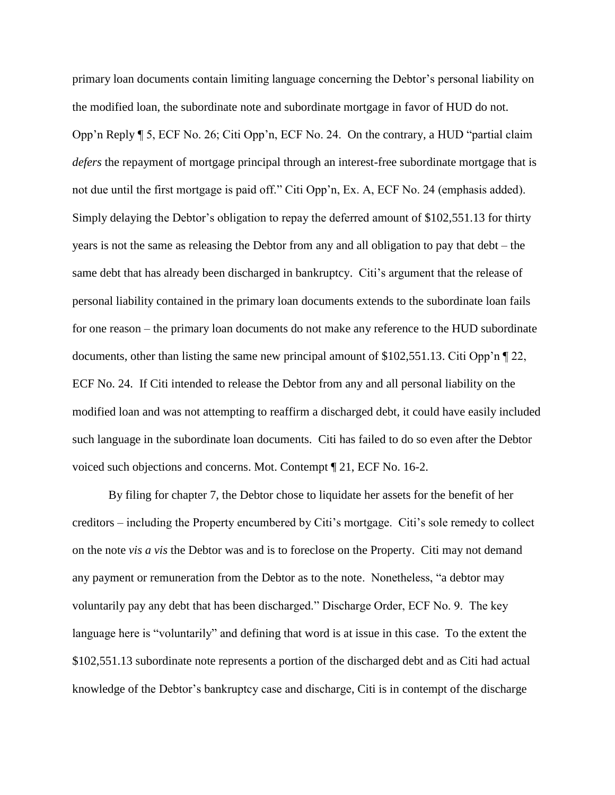primary loan documents contain limiting language concerning the Debtor's personal liability on the modified loan, the subordinate note and subordinate mortgage in favor of HUD do not. Opp'n Reply ¶ 5, ECF No. 26; Citi Opp'n, ECF No. 24. On the contrary, a HUD "partial claim *defers* the repayment of mortgage principal through an interest-free subordinate mortgage that is not due until the first mortgage is paid off." Citi Opp'n, Ex. A, ECF No. 24 (emphasis added). Simply delaying the Debtor's obligation to repay the deferred amount of \$102,551.13 for thirty years is not the same as releasing the Debtor from any and all obligation to pay that debt – the same debt that has already been discharged in bankruptcy. Citi's argument that the release of personal liability contained in the primary loan documents extends to the subordinate loan fails for one reason – the primary loan documents do not make any reference to the HUD subordinate documents, other than listing the same new principal amount of \$102,551.13. Citi Opp'n ¶ 22, ECF No. 24. If Citi intended to release the Debtor from any and all personal liability on the modified loan and was not attempting to reaffirm a discharged debt, it could have easily included such language in the subordinate loan documents. Citi has failed to do so even after the Debtor voiced such objections and concerns. Mot. Contempt ¶ 21, ECF No. 16-2.

By filing for chapter 7, the Debtor chose to liquidate her assets for the benefit of her creditors – including the Property encumbered by Citi's mortgage. Citi's sole remedy to collect on the note *vis a vis* the Debtor was and is to foreclose on the Property. Citi may not demand any payment or remuneration from the Debtor as to the note. Nonetheless, "a debtor may voluntarily pay any debt that has been discharged." Discharge Order, ECF No. 9. The key language here is "voluntarily" and defining that word is at issue in this case. To the extent the \$102,551.13 subordinate note represents a portion of the discharged debt and as Citi had actual knowledge of the Debtor's bankruptcy case and discharge, Citi is in contempt of the discharge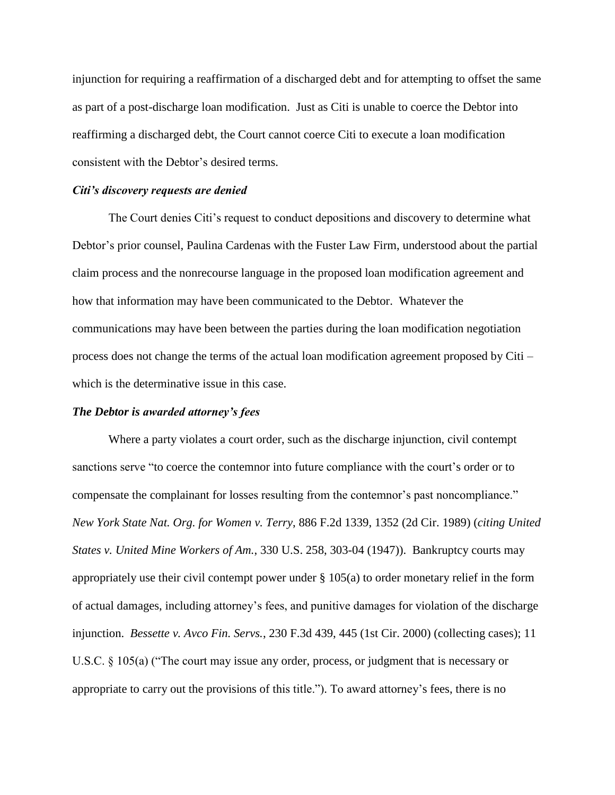injunction for requiring a reaffirmation of a discharged debt and for attempting to offset the same as part of a post-discharge loan modification. Just as Citi is unable to coerce the Debtor into reaffirming a discharged debt, the Court cannot coerce Citi to execute a loan modification consistent with the Debtor's desired terms.

#### *Citi's discovery requests are denied*

The Court denies Citi's request to conduct depositions and discovery to determine what Debtor's prior counsel, Paulina Cardenas with the Fuster Law Firm, understood about the partial claim process and the nonrecourse language in the proposed loan modification agreement and how that information may have been communicated to the Debtor. Whatever the communications may have been between the parties during the loan modification negotiation process does not change the terms of the actual loan modification agreement proposed by Citi – which is the determinative issue in this case.

#### *The Debtor is awarded attorney's fees*

Where a party violates a court order, such as the discharge injunction, civil contempt sanctions serve "to coerce the contemnor into future compliance with the court's order or to compensate the complainant for losses resulting from the contemnor's past noncompliance." *New York State Nat. Org. for Women v. Terry*, 886 F.2d 1339, 1352 (2d Cir. 1989) (*citing United States v. United Mine Workers of Am.*, 330 U.S. 258, 303-04 (1947)). Bankruptcy courts may appropriately use their civil contempt power under § 105(a) to order monetary relief in the form of actual damages, including attorney's fees, and punitive damages for violation of the discharge injunction. *Bessette v. Avco Fin. Servs.*, 230 F.3d 439, 445 (1st Cir. 2000) (collecting cases); 11 U.S.C. § 105(a) ("The court may issue any order, process, or judgment that is necessary or appropriate to carry out the provisions of this title."). To award attorney's fees, there is no